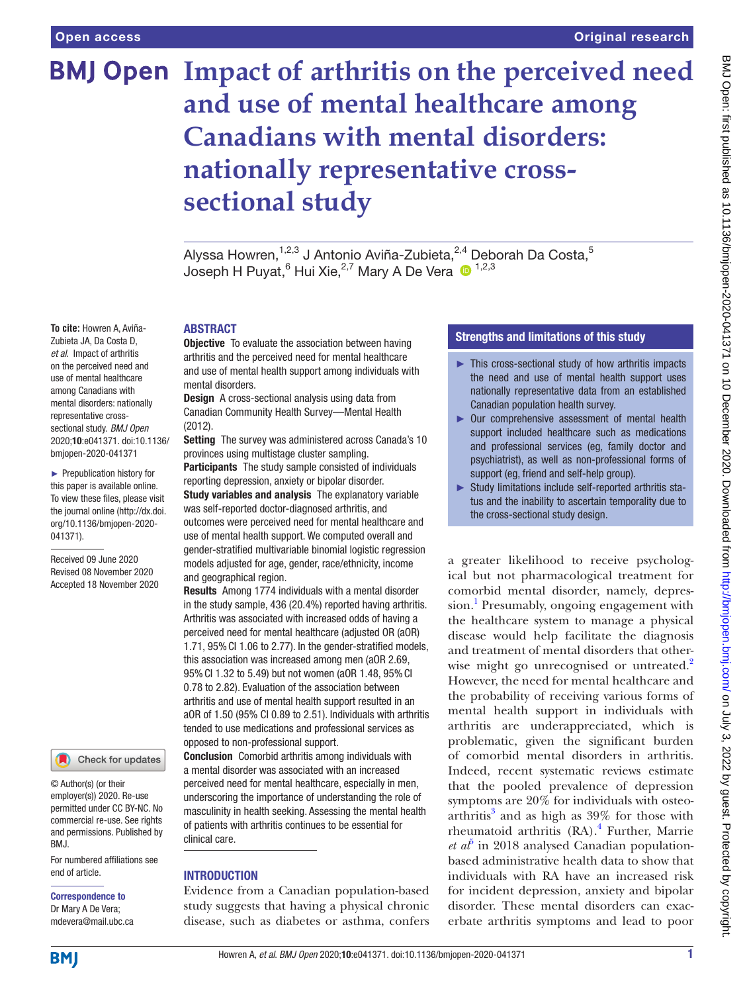**To cite:** Howren A, Aviña-Zubieta JA, Da Costa D, *et al*. Impact of arthritis on the perceived need and use of mental healthcare among Canadians with mental disorders: nationally representative crosssectional study. *BMJ Open* 2020;10:e041371. doi:10.1136/ bmjopen-2020-041371 ► Prepublication history for this paper is available online. To view these files, please visit the journal online (http://dx.doi. org/10.1136/bmjopen-2020-

041371).

Received 09 June 2020 Revised 08 November 2020 Accepted 18 November 2020

# **BMJ Open Impact of arthritis on the perceived need and use of mental healthcare among Canadians with mental disorders: nationally representative crosssectional study**

Alyssa Howren,<sup>1,2,3</sup> J Antonio Aviña-Zubieta,<sup>2,4</sup> Deborah Da Costa,<sup>5</sup> Joseph H Puyat, $^6$  Hui Xie, $^{2,7}$  Mary A De Vera  $\,\mathbf{0}^{\,\,1,2,3}\,$ 

#### ABSTRACT

**Objective** To evaluate the association between having arthritis and the perceived need for mental healthcare and use of mental health support among individuals with mental disorders.

Design A cross-sectional analysis using data from Canadian Community Health Survey—Mental Health (2012).

Setting The survey was administered across Canada's 10 provinces using multistage cluster sampling. **Participants** The study sample consisted of individuals reporting depression, anxiety or bipolar disorder. Study variables and analysis The explanatory variable was self-reported doctor-diagnosed arthritis, and outcomes were perceived need for mental healthcare and use of mental health support. We computed overall and gender-stratified multivariable binomial logistic regression models adjusted for age, gender, race/ethnicity, income

and geographical region. Results Among 1774 individuals with a mental disorder in the study sample, 436 (20.4%) reported having arthritis. Arthritis was associated with increased odds of having a perceived need for mental healthcare (adjusted OR (aOR) 1.71, 95%CI 1.06 to 2.77). In the gender-stratified models, this association was increased among men (aOR 2.69, 95%CI 1.32 to 5.49) but not women (aOR 1.48, 95%CI 0.78 to 2.82). Evaluation of the association between arthritis and use of mental health support resulted in an aOR of 1.50 (95% CI 0.89 to 2.51). Individuals with arthritis tended to use medications and professional services as opposed to non-professional support.

Conclusion Comorbid arthritis among individuals with a mental disorder was associated with an increased perceived need for mental healthcare, especially in men, underscoring the importance of understanding the role of masculinity in health seeking. Assessing the mental health of patients with arthritis continues to be essential for clinical care.

#### **INTRODUCTION**

Evidence from a Canadian population-based study suggests that having a physical chronic disease, such as diabetes or asthma, confers

### Strengths and limitations of this study

- ► This cross-sectional study of how arthritis impacts the need and use of mental health support uses nationally representative data from an established Canadian population health survey.
- ► Our comprehensive assessment of mental health support included healthcare such as medications and professional services (eg, family doctor and psychiatrist), as well as non-professional forms of support (eg, friend and self-help group).
- ► Study limitations include self-reported arthritis status and the inability to ascertain temporality due to the cross-sectional study design.

a greater likelihood to receive psychological but not pharmacological treatment for comorbid mental disorder, namely, depres-sion.<sup>[1](#page-7-0)</sup> Presumably, ongoing engagement with the healthcare system to manage a physical disease would help facilitate the diagnosis and treatment of mental disorders that otherwise might go unrecognised or untreated.<sup>2</sup> However, the need for mental healthcare and the probability of receiving various forms of mental health support in individuals with arthritis are underappreciated, which is problematic, given the significant burden of comorbid mental disorders in arthritis. Indeed, recent systematic reviews estimate that the pooled prevalence of depression symptoms are 20% for individuals with osteoarthritis $3$  and as high as  $39\%$  for those with rheumatoid arthritis (RA).<sup>[4](#page-7-3)</sup> Further, Marrie  $et\ a^{\bar{p}}$  in 2018 analysed Canadian populationbased administrative health data to show that individuals with RA have an increased risk for incident depression, anxiety and bipolar disorder. These mental disorders can exacerbate arthritis symptoms and lead to poor

# **BMI**

end of article.

BMJ.

Correspondence to Dr Mary A De Vera; mdevera@mail.ubc.ca

© Author(s) (or their employer(s)) 2020. Re-use permitted under CC BY-NC. No commercial re-use. See rights and permissions. Published by

For numbered affiliations see

Check for updates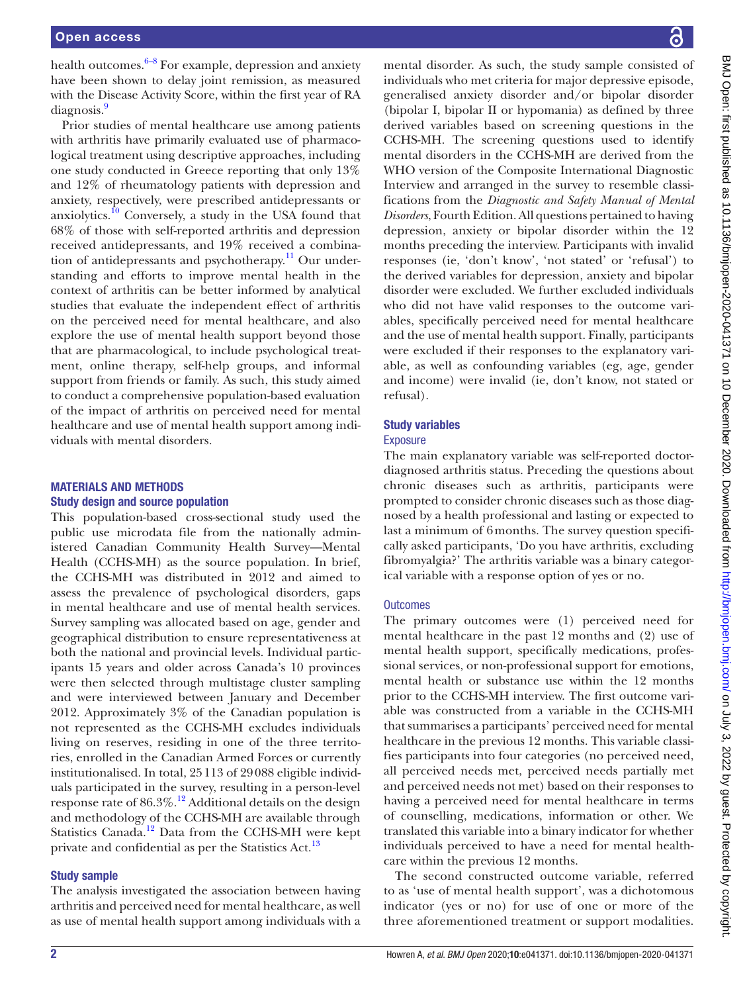health outcomes. $6-8$  For example, depression and anxiety have been shown to delay joint remission, as measured with the Disease Activity Score, within the first year of RA diagnosis.<sup>9</sup>

Prior studies of mental healthcare use among patients with arthritis have primarily evaluated use of pharmacological treatment using descriptive approaches, including one study conducted in Greece reporting that only 13% and 12% of rheumatology patients with depression and anxiety, respectively, were prescribed antidepressants or anxiolytics. $10$  Conversely, a study in the USA found that 68% of those with self-reported arthritis and depression received antidepressants, and 19% received a combination of antidepressants and psychotherapy. $^{11}$  Our understanding and efforts to improve mental health in the context of arthritis can be better informed by analytical studies that evaluate the independent effect of arthritis on the perceived need for mental healthcare, and also explore the use of mental health support beyond those that are pharmacological, to include psychological treatment, online therapy, self-help groups, and informal support from friends or family. As such, this study aimed to conduct a comprehensive population-based evaluation of the impact of arthritis on perceived need for mental healthcare and use of mental health support among individuals with mental disorders.

#### MATERIALS AND METHODS

#### Study design and source population

This population-based cross-sectional study used the public use microdata file from the nationally administered Canadian Community Health Survey—Mental Health (CCHS-MH) as the source population. In brief, the CCHS-MH was distributed in 2012 and aimed to assess the prevalence of psychological disorders, gaps in mental healthcare and use of mental health services. Survey sampling was allocated based on age, gender and geographical distribution to ensure representativeness at both the national and provincial levels. Individual participants 15 years and older across Canada's 10 provinces were then selected through multistage cluster sampling and were interviewed between January and December 2012. Approximately 3% of the Canadian population is not represented as the CCHS-MH excludes individuals living on reserves, residing in one of the three territories, enrolled in the Canadian Armed Forces or currently institutionalised. In total, 25113 of 29088 eligible individuals participated in the survey, resulting in a person-level response rate of 86.3%.[12](#page-8-3) Additional details on the design and methodology of the CCHS-MH are available through Statistics Canada.<sup>12</sup> Data from the CCHS-MH were kept private and confidential as per the Statistics Act.<sup>13</sup>

#### Study sample

The analysis investigated the association between having arthritis and perceived need for mental healthcare, as well as use of mental health support among individuals with a

mental disorder. As such, the study sample consisted of individuals who met criteria for major depressive episode, generalised anxiety disorder and/or bipolar disorder (bipolar I, bipolar II or hypomania) as defined by three derived variables based on screening questions in the CCHS-MH. The screening questions used to identify mental disorders in the CCHS-MH are derived from the WHO version of the Composite International Diagnostic Interview and arranged in the survey to resemble classifications from the *Diagnostic and Safety Manual of Mental Disorders*, Fourth Edition. All questions pertained to having depression, anxiety or bipolar disorder within the 12 months preceding the interview. Participants with invalid responses (ie, 'don't know', 'not stated' or 'refusal') to the derived variables for depression, anxiety and bipolar disorder were excluded. We further excluded individuals who did not have valid responses to the outcome variables, specifically perceived need for mental healthcare and the use of mental health support. Finally, participants were excluded if their responses to the explanatory variable, as well as confounding variables (eg, age, gender and income) were invalid (ie, don't know, not stated or refusal).

### Study variables

#### **Exposure**

The main explanatory variable was self-reported doctordiagnosed arthritis status. Preceding the questions about chronic diseases such as arthritis, participants were prompted to consider chronic diseases such as those diagnosed by a health professional and lasting or expected to last a minimum of 6months. The survey question specifically asked participants, 'Do you have arthritis, excluding fibromyalgia?' The arthritis variable was a binary categorical variable with a response option of yes or no.

#### **Outcomes**

The primary outcomes were (1) perceived need for mental healthcare in the past 12 months and (2) use of mental health support, specifically medications, professional services, or non-professional support for emotions, mental health or substance use within the 12 months prior to the CCHS-MH interview. The first outcome variable was constructed from a variable in the CCHS-MH that summarises a participants' perceived need for mental healthcare in the previous 12 months. This variable classifies participants into four categories (no perceived need, all perceived needs met, perceived needs partially met and perceived needs not met) based on their responses to having a perceived need for mental healthcare in terms of counselling, medications, information or other. We translated this variable into a binary indicator for whether individuals perceived to have a need for mental healthcare within the previous 12 months.

The second constructed outcome variable, referred to as 'use of mental health support', was a dichotomous indicator (yes or no) for use of one or more of the three aforementioned treatment or support modalities.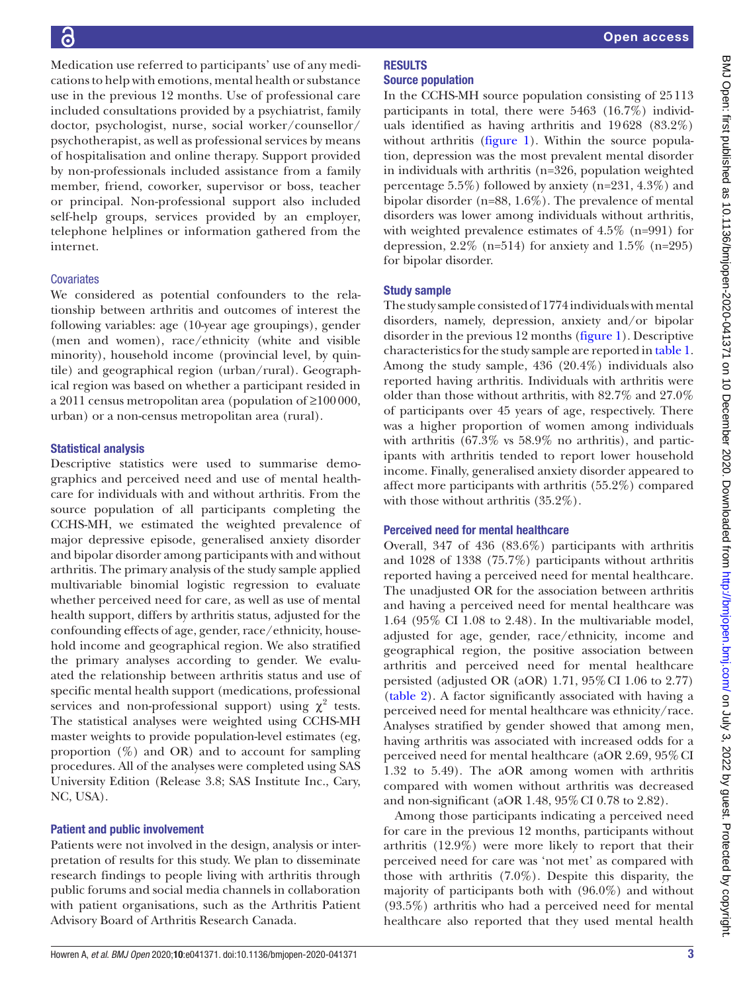Medication use referred to participants' use of any medications to help with emotions, mental health or substance use in the previous 12 months. Use of professional care included consultations provided by a psychiatrist, family doctor, psychologist, nurse, social worker/counsellor/ psychotherapist, as well as professional services by means of hospitalisation and online therapy. Support provided by non-professionals included assistance from a family member, friend, coworker, supervisor or boss, teacher or principal. Non-professional support also included self-help groups, services provided by an employer, telephone helplines or information gathered from the internet.

#### **Covariates**

We considered as potential confounders to the relationship between arthritis and outcomes of interest the following variables: age (10-year age groupings), gender (men and women), race/ethnicity (white and visible minority), household income (provincial level, by quintile) and geographical region (urban/rural). Geographical region was based on whether a participant resided in a 2011 census metropolitan area (population of ≥100000, urban) or a non-census metropolitan area (rural).

#### Statistical analysis

Descriptive statistics were used to summarise demographics and perceived need and use of mental healthcare for individuals with and without arthritis. From the source population of all participants completing the CCHS-MH, we estimated the weighted prevalence of major depressive episode, generalised anxiety disorder and bipolar disorder among participants with and without arthritis. The primary analysis of the study sample applied multivariable binomial logistic regression to evaluate whether perceived need for care, as well as use of mental health support, differs by arthritis status, adjusted for the confounding effects of age, gender, race/ethnicity, household income and geographical region. We also stratified the primary analyses according to gender. We evaluated the relationship between arthritis status and use of specific mental health support (medications, professional services and non-professional support) using  $\chi^2$  tests. The statistical analyses were weighted using CCHS-MH master weights to provide population-level estimates (eg, proportion  $(\%)$  and OR) and to account for sampling procedures. All of the analyses were completed using SAS University Edition (Release 3.8; SAS Institute Inc., Cary, NC, USA).

#### Patient and public involvement

Patients were not involved in the design, analysis or interpretation of results for this study. We plan to disseminate research findings to people living with arthritis through public forums and social media channels in collaboration with patient organisations, such as the Arthritis Patient Advisory Board of Arthritis Research Canada.

In the CCHS-MH source population consisting of 25113 participants in total, there were 5463 (16.7%) individuals identified as having arthritis and 19628 (83.2%) without arthritis ([figure](#page-3-0) 1). Within the source population, depression was the most prevalent mental disorder in individuals with arthritis (n=326, population weighted percentage 5.5%) followed by anxiety (n=231, 4.3%) and bipolar disorder (n=88, 1.6%). The prevalence of mental disorders was lower among individuals without arthritis, with weighted prevalence estimates of 4.5% (n=991) for depression,  $2.2\%$  (n=514) for anxiety and  $1.5\%$  (n=295) for bipolar disorder.

#### Study sample

The study sample consisted of 1774 individuals with mental disorders, namely, depression, anxiety and/or bipolar disorder in the previous 12 months ([figure](#page-3-0) 1). Descriptive characteristics for the study sample are reported in [table](#page-4-0) 1. Among the study sample, 436 (20.4%) individuals also reported having arthritis. Individuals with arthritis were older than those without arthritis, with 82.7% and 27.0% of participants over 45 years of age, respectively. There was a higher proportion of women among individuals with arthritis (67.3% vs 58.9% no arthritis), and participants with arthritis tended to report lower household income. Finally, generalised anxiety disorder appeared to affect more participants with arthritis (55.2%) compared with those without arthritis  $(35.2\%)$ .

#### Perceived need for mental healthcare

Overall, 347 of 436 (83.6%) participants with arthritis and 1028 of 1338 (75.7%) participants without arthritis reported having a perceived need for mental healthcare. The unadjusted OR for the association between arthritis and having a perceived need for mental healthcare was 1.64 (95% CI 1.08 to 2.48). In the multivariable model, adjusted for age, gender, race/ethnicity, income and geographical region, the positive association between arthritis and perceived need for mental healthcare persisted (adjusted OR (aOR)  $1.71$ ,  $95\%$  CI  $1.06$  to  $2.77$ ) [\(table](#page-5-0) 2). A factor significantly associated with having a perceived need for mental healthcare was ethnicity/race. Analyses stratified by gender showed that among men, having arthritis was associated with increased odds for a perceived need for mental healthcare (aOR 2.69, 95%CI 1.32 to 5.49). The aOR among women with arthritis compared with women without arthritis was decreased and non-significant (aOR 1.48, 95%CI 0.78 to 2.82).

Among those participants indicating a perceived need for care in the previous 12 months, participants without arthritis (12.9%) were more likely to report that their perceived need for care was 'not met' as compared with those with arthritis  $(7.0\%)$ . Despite this disparity, the majority of participants both with (96.0%) and without (93.5%) arthritis who had a perceived need for mental healthcare also reported that they used mental health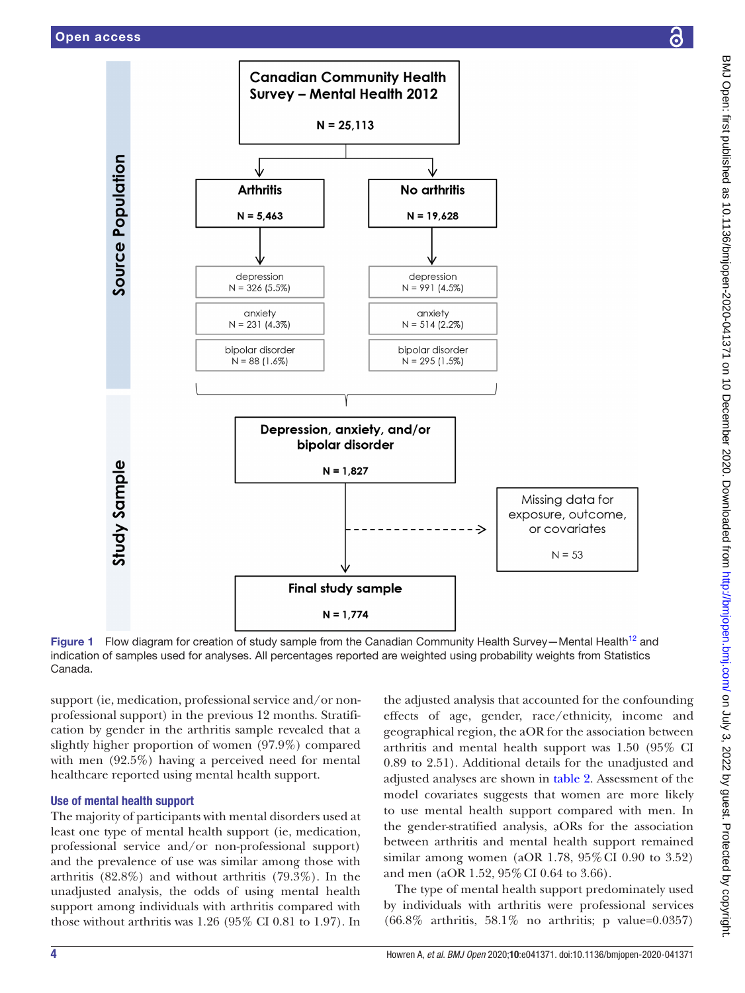

<span id="page-3-0"></span>Figure 1 Flow diagram for creation of study sample from the Canadian Community Health Survey—Mental Health<sup>[12](#page-8-3)</sup> and indication of samples used for analyses. All percentages reported are weighted using probability weights from Statistics Canada.

support (ie, medication, professional service and/or nonprofessional support) in the previous 12 months. Stratification by gender in the arthritis sample revealed that a slightly higher proportion of women (97.9%) compared with men (92.5%) having a perceived need for mental healthcare reported using mental health support.

#### Use of mental health support

The majority of participants with mental disorders used at least one type of mental health support (ie, medication, professional service and/or non-professional support) and the prevalence of use was similar among those with arthritis (82.8%) and without arthritis (79.3%). In the unadjusted analysis, the odds of using mental health support among individuals with arthritis compared with those without arthritis was 1.26 (95% CI 0.81 to 1.97). In

the adjusted analysis that accounted for the confounding effects of age, gender, race/ethnicity, income and geographical region, the aOR for the association between arthritis and mental health support was 1.50 (95% CI 0.89 to 2.51). Additional details for the unadjusted and adjusted analyses are shown in [table](#page-5-0) 2. Assessment of the model covariates suggests that women are more likely to use mental health support compared with men. In the gender-stratified analysis, aORs for the association between arthritis and mental health support remained similar among women (aOR 1.78, 95%CI 0.90 to 3.52) and men (aOR 1.52, 95%CI 0.64 to 3.66).

The type of mental health support predominately used by individuals with arthritis were professional services (66.8% arthritis, 58.1% no arthritis; p value=0.0357)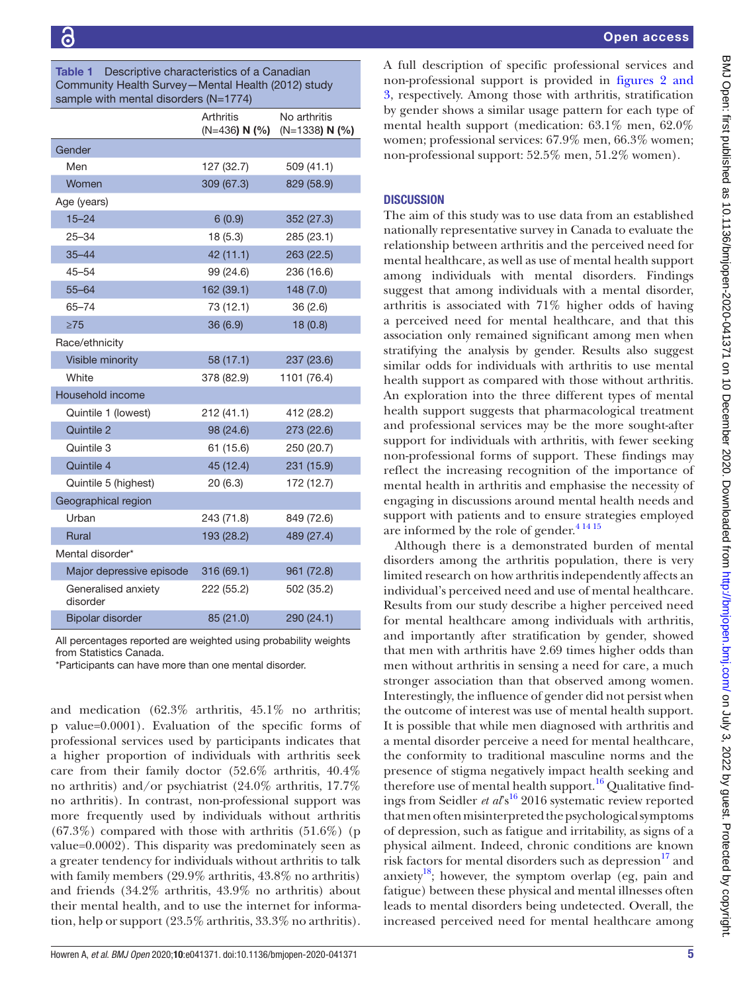<span id="page-4-0"></span>

| Descriptive characteristics of a Canadian<br>Table 1<br>Community Health Survey-Mental Health (2012) study<br>sample with mental disorders (N=1774) |                              |                                  |  |
|-----------------------------------------------------------------------------------------------------------------------------------------------------|------------------------------|----------------------------------|--|
|                                                                                                                                                     | Arthritis<br>$(N=436) N (%)$ | No arthritis<br>$(N=1338) N (%)$ |  |
| Gender                                                                                                                                              |                              |                                  |  |
| Men                                                                                                                                                 | 127 (32.7)                   | 509 (41.1)                       |  |
| Women                                                                                                                                               | 309 (67.3)                   | 829 (58.9)                       |  |
| Age (years)                                                                                                                                         |                              |                                  |  |
| $15 - 24$                                                                                                                                           | 6(0.9)                       | 352 (27.3)                       |  |
| $25 - 34$                                                                                                                                           | 18 (5.3)                     | 285 (23.1)                       |  |
| $35 - 44$                                                                                                                                           | 42 (11.1)                    | 263 (22.5)                       |  |
| $45 - 54$                                                                                                                                           | 99 (24.6)                    | 236 (16.6)                       |  |
| $55 - 64$                                                                                                                                           | 162 (39.1)                   | 148 (7.0)                        |  |
| $65 - 74$                                                                                                                                           | 73 (12.1)                    | 36(2.6)                          |  |
| $\geq 75$                                                                                                                                           | 36 (6.9)                     | 18(0.8)                          |  |
| Race/ethnicity                                                                                                                                      |                              |                                  |  |
| Visible minority                                                                                                                                    | 58 (17.1)                    | 237 (23.6)                       |  |
| White                                                                                                                                               | 378 (82.9)                   | 1101 (76.4)                      |  |
| Household income                                                                                                                                    |                              |                                  |  |
| Quintile 1 (lowest)                                                                                                                                 | 212 (41.1)                   | 412 (28.2)                       |  |
| Quintile 2                                                                                                                                          | 98 (24.6)                    | 273 (22.6)                       |  |
| Quintile 3                                                                                                                                          | 61 (15.6)                    | 250 (20.7)                       |  |
| Quintile 4                                                                                                                                          | 45 (12.4)                    | 231 (15.9)                       |  |
| Quintile 5 (highest)                                                                                                                                | 20(6.3)                      | 172 (12.7)                       |  |
| Geographical region                                                                                                                                 |                              |                                  |  |
| Urban                                                                                                                                               | 243 (71.8)                   | 849 (72.6)                       |  |
| <b>Rural</b>                                                                                                                                        | 193 (28.2)                   | 489 (27.4)                       |  |
| Mental disorder*                                                                                                                                    |                              |                                  |  |
| Major depressive episode                                                                                                                            | 316 (69.1)                   | 961 (72.8)                       |  |
| Generalised anxiety<br>disorder                                                                                                                     | 222 (55.2)                   | 502 (35.2)                       |  |
| <b>Bipolar disorder</b>                                                                                                                             | 85 (21.0)                    | 290 (24.1)                       |  |

All percentages reported are weighted using probability weights from Statistics Canada.

\*Participants can have more than one mental disorder.

and medication (62.3% arthritis, 45.1% no arthritis; p value=0.0001). Evaluation of the specific forms of professional services used by participants indicates that a higher proportion of individuals with arthritis seek care from their family doctor (52.6% arthritis, 40.4% no arthritis) and/or psychiatrist (24.0% arthritis, 17.7% no arthritis). In contrast, non-professional support was more frequently used by individuals without arthritis  $(67.3\%)$  compared with those with arthritis  $(51.6\%)$  (p value=0.0002). This disparity was predominately seen as a greater tendency for individuals without arthritis to talk with family members (29.9% arthritis, 43.8% no arthritis) and friends (34.2% arthritis, 43.9% no arthritis) about their mental health, and to use the internet for information, help or support (23.5% arthritis, 33.3% no arthritis).

A full description of specific professional services and non-professional support is provided in [figures](#page-6-0) 2 and [3](#page-6-0), respectively. Among those with arthritis, stratification by gender shows a similar usage pattern for each type of mental health support (medication: 63.1% men, 62.0% women; professional services: 67.9% men, 66.3% women; non-professional support: 52.5% men, 51.2% women).

## **DISCUSSION**

The aim of this study was to use data from an established nationally representative survey in Canada to evaluate the relationship between arthritis and the perceived need for mental healthcare, as well as use of mental health support among individuals with mental disorders. Findings suggest that among individuals with a mental disorder, arthritis is associated with 71% higher odds of having a perceived need for mental healthcare, and that this association only remained significant among men when stratifying the analysis by gender. Results also suggest similar odds for individuals with arthritis to use mental health support as compared with those without arthritis. An exploration into the three different types of mental health support suggests that pharmacological treatment and professional services may be the more sought-after support for individuals with arthritis, with fewer seeking non-professional forms of support. These findings may reflect the increasing recognition of the importance of mental health in arthritis and emphasise the necessity of engaging in discussions around mental health needs and support with patients and to ensure strategies employed are informed by the role of gender.<sup>41415</sup>

Although there is a demonstrated burden of mental disorders among the arthritis population, there is very limited research on how arthritis independently affects an individual's perceived need and use of mental healthcare. Results from our study describe a higher perceived need for mental healthcare among individuals with arthritis, and importantly after stratification by gender, showed that men with arthritis have 2.69 times higher odds than men without arthritis in sensing a need for care, a much stronger association than that observed among women. Interestingly, the influence of gender did not persist when the outcome of interest was use of mental health support. It is possible that while men diagnosed with arthritis and a mental disorder perceive a need for mental healthcare, the conformity to traditional masculine norms and the presence of stigma negatively impact health seeking and therefore use of mental health support.<sup>16</sup> Qualitative findings from Seidler *et al*<sup>s16</sup> 2016 systematic review reported that men often misinterpreted the psychological symptoms of depression, such as fatigue and irritability, as signs of a physical ailment. Indeed, chronic conditions are known risk factors for mental disorders such as depression $^{17}$  and anxiety<sup>18</sup>; however, the symptom overlap (eg, pain and fatigue) between these physical and mental illnesses often leads to mental disorders being undetected. Overall, the increased perceived need for mental healthcare among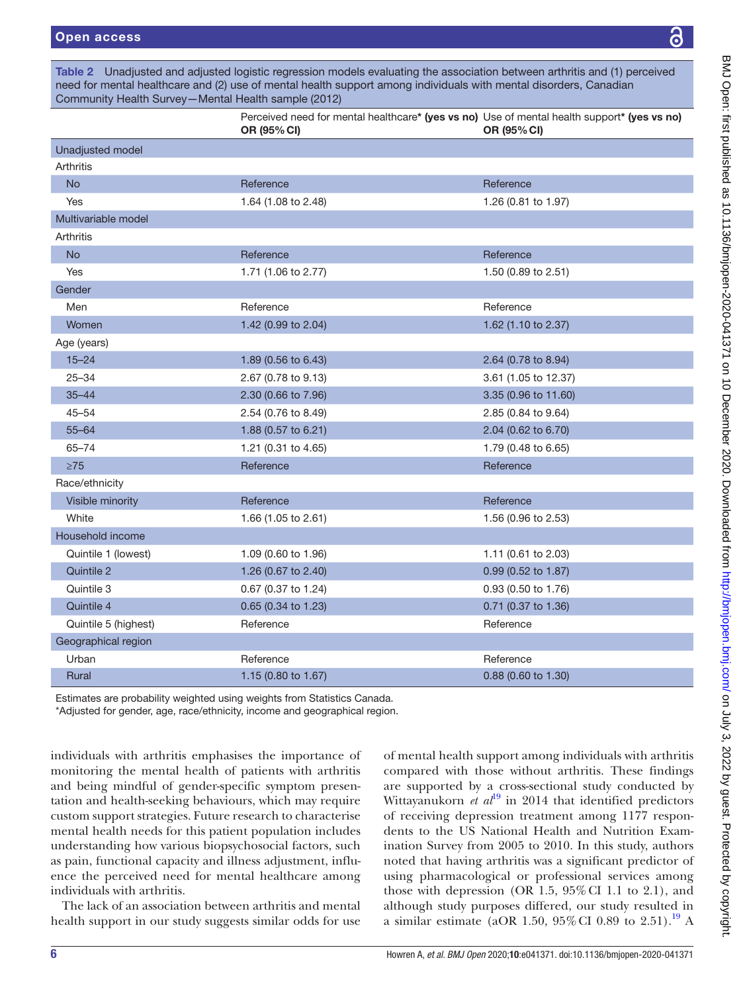<span id="page-5-0"></span>Table 2 Unadjusted and adjusted logistic regression models evaluating the association between arthritis and (1) perceived need for mental healthcare and (2) use of mental health support among individuals with mental disorders, Canadian Community Health Survey—Mental Health sample (2012)

|                      | Perceived need for mental healthcare* (yes vs no) Use of mental health support* (yes vs no)<br>OR (95% CI) | OR (95% CI)          |
|----------------------|------------------------------------------------------------------------------------------------------------|----------------------|
| Unadjusted model     |                                                                                                            |                      |
| <b>Arthritis</b>     |                                                                                                            |                      |
| <b>No</b>            | Reference                                                                                                  | Reference            |
| Yes                  | 1.64 (1.08 to 2.48)                                                                                        | 1.26 (0.81 to 1.97)  |
| Multivariable model  |                                                                                                            |                      |
| <b>Arthritis</b>     |                                                                                                            |                      |
| <b>No</b>            | Reference                                                                                                  | Reference            |
| Yes                  | 1.71 (1.06 to 2.77)                                                                                        | 1.50 (0.89 to 2.51)  |
| Gender               |                                                                                                            |                      |
| Men                  | Reference                                                                                                  | Reference            |
| Women                | 1.42 (0.99 to 2.04)                                                                                        | 1.62 (1.10 to 2.37)  |
| Age (years)          |                                                                                                            |                      |
| $15 - 24$            | 1.89 (0.56 to 6.43)                                                                                        | 2.64 (0.78 to 8.94)  |
| $25 - 34$            | 2.67 (0.78 to 9.13)                                                                                        | 3.61 (1.05 to 12.37) |
| $35 - 44$            | 2.30 (0.66 to 7.96)                                                                                        | 3.35 (0.96 to 11.60) |
| $45 - 54$            | 2.54 (0.76 to 8.49)                                                                                        | 2.85 (0.84 to 9.64)  |
| $55 - 64$            | 1.88 (0.57 to 6.21)                                                                                        | 2.04 (0.62 to 6.70)  |
| $65 - 74$            | 1.21 (0.31 to 4.65)                                                                                        | 1.79 (0.48 to 6.65)  |
| $\geq 75$            | Reference                                                                                                  | Reference            |
| Race/ethnicity       |                                                                                                            |                      |
| Visible minority     | Reference                                                                                                  | Reference            |
| White                | 1.66 (1.05 to 2.61)                                                                                        | 1.56 (0.96 to 2.53)  |
| Household income     |                                                                                                            |                      |
| Quintile 1 (lowest)  | 1.09 (0.60 to 1.96)                                                                                        | 1.11 (0.61 to 2.03)  |
| Quintile 2           | 1.26 (0.67 to 2.40)                                                                                        | 0.99 (0.52 to 1.87)  |
| Quintile 3           | 0.67 (0.37 to 1.24)                                                                                        | 0.93 (0.50 to 1.76)  |
| Quintile 4           | 0.65 (0.34 to 1.23)                                                                                        | 0.71 (0.37 to 1.36)  |
| Quintile 5 (highest) | Reference                                                                                                  | Reference            |
| Geographical region  |                                                                                                            |                      |
| Urban                | Reference                                                                                                  | Reference            |
| Rural                | 1.15 (0.80 to 1.67)                                                                                        | 0.88 (0.60 to 1.30)  |
|                      |                                                                                                            |                      |

Estimates are probability weighted using weights from Statistics Canada.

\*Adjusted for gender, age, race/ethnicity, income and geographical region.

individuals with arthritis emphasises the importance of monitoring the mental health of patients with arthritis and being mindful of gender-specific symptom presentation and health-seeking behaviours, which may require custom support strategies. Future research to characterise mental health needs for this patient population includes understanding how various biopsychosocial factors, such as pain, functional capacity and illness adjustment, influence the perceived need for mental healthcare among individuals with arthritis.

The lack of an association between arthritis and mental health support in our study suggests similar odds for use of mental health support among individuals with arthritis compared with those without arthritis. These findings are supported by a cross-sectional study conducted by Wittayanukorn *et al*<sup>[19](#page-8-8)</sup> in 2014 that identified predictors of receiving depression treatment among 1177 respondents to the US National Health and Nutrition Examination Survey from 2005 to 2010. In this study, authors noted that having arthritis was a significant predictor of using pharmacological or professional services among those with depression (OR 1.5,  $95\%$  CI 1.1 to 2.1), and although study purposes differed, our study resulted in a similar estimate (aOR 1.50, 95% CI 0.89 to 2.51).<sup>[19](#page-8-8)</sup> A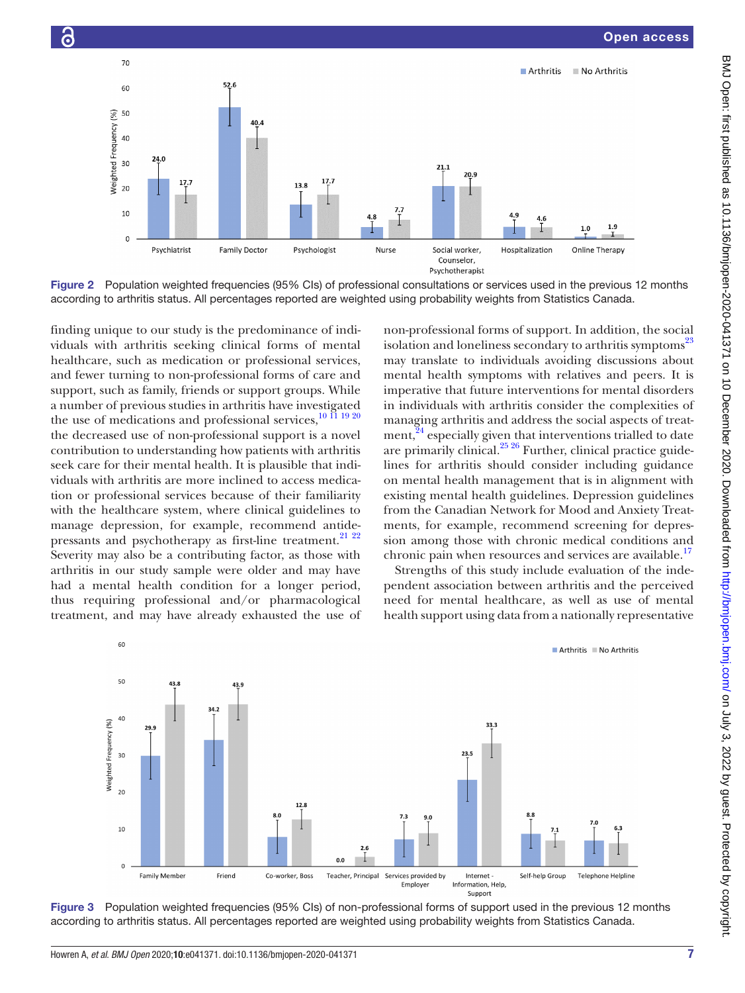

<span id="page-6-0"></span>Figure 2 Population weighted frequencies (95% CIs) of professional consultations or services used in the previous 12 months according to arthritis status. All percentages reported are weighted using probability weights from Statistics Canada.

finding unique to our study is the predominance of individuals with arthritis seeking clinical forms of mental healthcare, such as medication or professional services, and fewer turning to non-professional forms of care and support, such as family, friends or support groups. While a number of previous studies in arthritis have investigated the use of medications and professional services,  $^{10}$  II 19 20 the decreased use of non-professional support is a novel contribution to understanding how patients with arthritis seek care for their mental health. It is plausible that individuals with arthritis are more inclined to access medication or professional services because of their familiarity with the healthcare system, where clinical guidelines to manage depression, for example, recommend antidepressants and psychotherapy as first-line treatment.<sup>21</sup> <sup>22</sup> Severity may also be a contributing factor, as those with arthritis in our study sample were older and may have had a mental health condition for a longer period, thus requiring professional and/or pharmacological treatment, and may have already exhausted the use of

Ġ

non-professional forms of support. In addition, the social isolation and loneliness secondary to arthritis symptoms<sup>[23](#page-8-10)</sup> may translate to individuals avoiding discussions about mental health symptoms with relatives and peers. It is imperative that future interventions for mental disorders in individuals with arthritis consider the complexities of managing arthritis and address the social aspects of treat-ment,<sup>[24](#page-8-11)</sup> especially given that interventions trialled to date are primarily clinical.<sup>[25 26](#page-8-12)</sup> Further, clinical practice guidelines for arthritis should consider including guidance on mental health management that is in alignment with existing mental health guidelines. Depression guidelines from the Canadian Network for Mood and Anxiety Treatments, for example, recommend screening for depression among those with chronic medical conditions and chronic pain when resources and services are available.<sup>17</sup>

Strengths of this study include evaluation of the independent association between arthritis and the perceived need for mental healthcare, as well as use of mental health support using data from a nationally representative



Figure 3 Population weighted frequencies (95% CIs) of non-professional forms of support used in the previous 12 months according to arthritis status. All percentages reported are weighted using probability weights from Statistics Canada.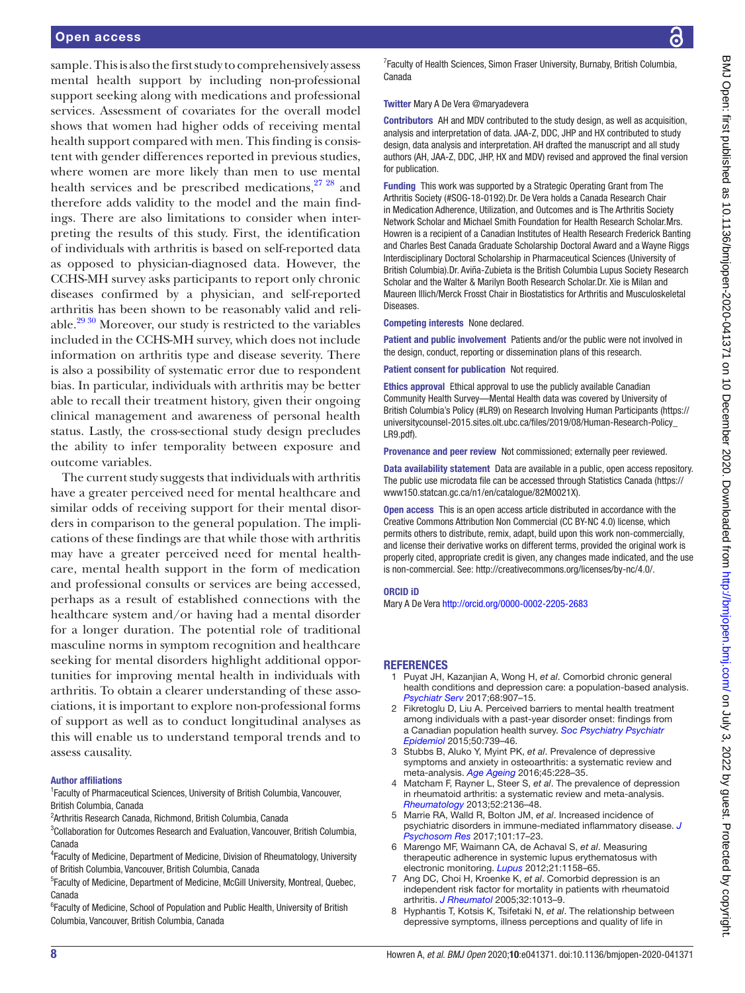#### Open access

sample. This is also the first study to comprehensively assess mental health support by including non-professional support seeking along with medications and professional services. Assessment of covariates for the overall model shows that women had higher odds of receiving mental health support compared with men. This finding is consistent with gender differences reported in previous studies, where women are more likely than men to use mental health services and be prescribed medications, $2728$  and therefore adds validity to the model and the main findings. There are also limitations to consider when interpreting the results of this study. First, the identification of individuals with arthritis is based on self-reported data as opposed to physician-diagnosed data. However, the CCHS-MH survey asks participants to report only chronic diseases confirmed by a physician, and self-reported arthritis has been shown to be reasonably valid and reliable. $2930$  Moreover, our study is restricted to the variables included in the CCHS-MH survey, which does not include information on arthritis type and disease severity. There is also a possibility of systematic error due to respondent bias. In particular, individuals with arthritis may be better able to recall their treatment history, given their ongoing clinical management and awareness of personal health status. Lastly, the cross-sectional study design precludes the ability to infer temporality between exposure and outcome variables.

The current study suggests that individuals with arthritis have a greater perceived need for mental healthcare and similar odds of receiving support for their mental disorders in comparison to the general population. The implications of these findings are that while those with arthritis may have a greater perceived need for mental healthcare, mental health support in the form of medication and professional consults or services are being accessed, perhaps as a result of established connections with the healthcare system and/or having had a mental disorder for a longer duration. The potential role of traditional masculine norms in symptom recognition and healthcare seeking for mental disorders highlight additional opportunities for improving mental health in individuals with arthritis. To obtain a clearer understanding of these associations, it is important to explore non-professional forms of support as well as to conduct longitudinal analyses as this will enable us to understand temporal trends and to assess causality.

#### Author affiliations

<sup>1</sup> Faculty of Pharmaceutical Sciences, University of British Columbia, Vancouver, British Columbia, Canada

<sup>2</sup> Arthritis Research Canada, Richmond, British Columbia, Canada

<sup>3</sup>Collaboration for Outcomes Research and Evaluation, Vancouver, British Columbia, Canada

4 Faculty of Medicine, Department of Medicine, Division of Rheumatology, University of British Columbia, Vancouver, British Columbia, Canada

<sup>5</sup> Faculty of Medicine, Department of Medicine, McGill University, Montreal, Quebec, Canada

<sup>6</sup> Faculty of Medicine, School of Population and Public Health, University of British Columbia, Vancouver, British Columbia, Canada

<sup>7</sup> Faculty of Health Sciences, Simon Fraser University, Burnaby, British Columbia, Canada

#### Twitter Mary A De Vera [@maryadevera](https://twitter.com/maryadevera)

Contributors AH and MDV contributed to the study design, as well as acquisition, analysis and interpretation of data. JAA-Z, DDC, JHP and HX contributed to study design, data analysis and interpretation. AH drafted the manuscript and all study authors (AH, JAA-Z, DDC, JHP, HX and MDV) revised and approved the final version for publication.

Funding This work was supported by a Strategic Operating Grant from The Arthritis Society (#SOG-18-0192).Dr. De Vera holds a Canada Research Chair in Medication Adherence, Utilization, and Outcomes and is The Arthritis Society Network Scholar and Michael Smith Foundation for Health Research Scholar.Mrs. Howren is a recipient of a Canadian Institutes of Health Research Frederick Banting and Charles Best Canada Graduate Scholarship Doctoral Award and a Wayne Riggs Interdisciplinary Doctoral Scholarship in Pharmaceutical Sciences (University of British Columbia).Dr. Aviña-Zubieta is the British Columbia Lupus Society Research Scholar and the Walter & Marilyn Booth Research Scholar.Dr. Xie is Milan and Maureen Illich/Merck Frosst Chair in Biostatistics for Arthritis and Musculoskeletal Diseases.

Competing interests None declared.

Patient and public involvement Patients and/or the public were not involved in the design, conduct, reporting or dissemination plans of this research.

Patient consent for publication Not required.

Ethics approval Ethical approval to use the publicly available Canadian Community Health Survey—Mental Health data was covered by University of British Columbia's Policy (#LR9) on Research Involving Human Participants [\(https://](https://universitycounsel-2015.sites.olt.ubc.ca/files/2019/08/Human-Research-Policy_LR9.pdf) [universitycounsel-2015.sites.olt.ubc.ca/files/2019/08/Human-Research-Policy\\_](https://universitycounsel-2015.sites.olt.ubc.ca/files/2019/08/Human-Research-Policy_LR9.pdf) [LR9.pdf\)](https://universitycounsel-2015.sites.olt.ubc.ca/files/2019/08/Human-Research-Policy_LR9.pdf).

Provenance and peer review Not commissioned; externally peer reviewed.

Data availability statement Data are available in a public, open access repository. The public use microdata file can be accessed through Statistics Canada [\(https://](https://www150.statcan.gc.ca/n1/en/catalogue/82M0021X) [www150.statcan.gc.ca/n1/en/catalogue/82M0021X\)](https://www150.statcan.gc.ca/n1/en/catalogue/82M0021X).

Open access This is an open access article distributed in accordance with the Creative Commons Attribution Non Commercial (CC BY-NC 4.0) license, which permits others to distribute, remix, adapt, build upon this work non-commercially, and license their derivative works on different terms, provided the original work is properly cited, appropriate credit is given, any changes made indicated, and the use is non-commercial. See: [http://creativecommons.org/licenses/by-nc/4.0/.](http://creativecommons.org/licenses/by-nc/4.0/)

#### ORCID iD

Mary A De Vera <http://orcid.org/0000-0002-2205-2683>

#### **REFERENCES**

- <span id="page-7-0"></span>1 Puyat JH, Kazanjian A, Wong H, *et al*. Comorbid chronic general health conditions and depression care: a population-based analysis. *[Psychiatr Serv](http://dx.doi.org/10.1176/appi.ps.201600309)* 2017;68:907–15.
- <span id="page-7-1"></span>2 Fikretoglu D, Liu A. Perceived barriers to mental health treatment among individuals with a past-year disorder onset: findings from a Canadian population health survey. *[Soc Psychiatry Psychiatr](http://dx.doi.org/10.1007/s00127-014-0975-0)  [Epidemiol](http://dx.doi.org/10.1007/s00127-014-0975-0)* 2015;50:739–46.
- <span id="page-7-2"></span>3 Stubbs B, Aluko Y, Myint PK, *et al*. Prevalence of depressive symptoms and anxiety in osteoarthritis: a systematic review and meta-analysis. *[Age Ageing](http://dx.doi.org/10.1093/ageing/afw001)* 2016;45:228–35.
- <span id="page-7-3"></span>4 Matcham F, Rayner L, Steer S, *et al*. The prevalence of depression in rheumatoid arthritis: a systematic review and meta-analysis. *[Rheumatology](http://dx.doi.org/10.1093/rheumatology/ket169)* 2013;52:2136–48.
- <span id="page-7-4"></span>5 Marrie RA, Walld R, Bolton JM, *et al*. Increased incidence of psychiatric disorders in immune-mediated inflammatory disease. *[J](http://dx.doi.org/10.1016/j.jpsychores.2017.07.015)  [Psychosom Res](http://dx.doi.org/10.1016/j.jpsychores.2017.07.015)* 2017;101:17–23.
- <span id="page-7-5"></span>6 Marengo MF, Waimann CA, de Achaval S, *et al*. Measuring therapeutic adherence in systemic lupus erythematosus with electronic monitoring. *[Lupus](http://dx.doi.org/10.1177/0961203312447868)* 2012;21:1158–65.
- 7 Ang DC, Choi H, Kroenke K, *et al*. Comorbid depression is an independent risk factor for mortality in patients with rheumatoid arthritis. *[J Rheumatol](http://www.ncbi.nlm.nih.gov/pubmed/http://www.ncbi.nlm.nih.gov/pubmed/15940760)* 2005;32:1013–9.
- 8 Hyphantis T, Kotsis K, Tsifetaki N, *et al*. The relationship between depressive symptoms, illness perceptions and quality of life in